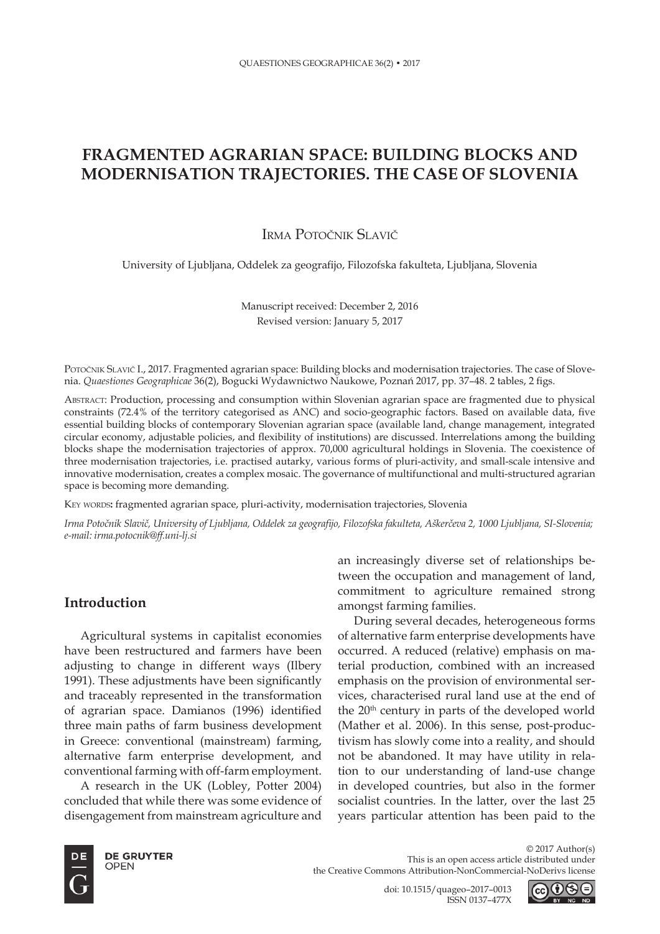# **FRAGMENTED AGRARIAN SPACE: BUILDING BLOCKS AND MODERNISATION TRAJECTORIES. THE CASE OF SLOVENIA**

## Irma Potočnik Slavič

University of Ljubljana, Oddelek za geografijo, Filozofska fakulteta, Ljubljana, Slovenia

Manuscript received: December 2, 2016 Revised version: January 5, 2017

POTOČNIK SLAVIČ I., 2017. Fragmented agrarian space: Building blocks and modernisation trajectories. The case of Slovenia. *Quaestiones Geographicae* 36(2), Bogucki Wydawnictwo Naukowe, Poznań 2017, pp. 37–48. 2 tables, 2 figs.

Abstract: Production, processing and consumption within Slovenian agrarian space are fragmented due to physical constraints (72.4% of the territory categorised as ANC) and socio-geographic factors. Based on available data, five essential building blocks of contemporary Slovenian agrarian space (available land, change management, integrated circular economy, adjustable policies, and flexibility of institutions) are discussed. Interrelations among the building blocks shape the modernisation trajectories of approx. 70,000 agricultural holdings in Slovenia. The coexistence of three modernisation trajectories, i.e. practised autarky, various forms of pluri-activity, and small-scale intensive and innovative modernisation, creates a complex mosaic. The governance of multifunctional and multi-structured agrarian space is becoming more demanding.

Key words**:** fragmented agrarian space, pluri-activity, modernisation trajectories, Slovenia

*Irma Potočnik Slavič, University of Ljubljana, Oddelek za geografijo, Filozofska fakulteta, Aškerčeva 2, 1000 Ljubljana, SI-Slovenia; e-mail: irma.potocnik@ff.uni-lj.si*

## **Introduction**

Agricultural systems in capitalist economies have been restructured and farmers have been adjusting to change in different ways (Ilbery 1991). These adjustments have been significantly and traceably represented in the transformation of agrarian space. Damianos (1996) identified three main paths of farm business development in Greece: conventional (mainstream) farming, alternative farm enterprise development, and conventional farming with off-farm employment.

A research in the UK (Lobley, Potter 2004) concluded that while there was some evidence of disengagement from mainstream agriculture and

an increasingly diverse set of relationships between the occupation and management of land, commitment to agriculture remained strong amongst farming families.

During several decades, heterogeneous forms of alternative farm enterprise developments have occurred. A reduced (relative) emphasis on material production, combined with an increased emphasis on the provision of environmental services, characterised rural land use at the end of the 20<sup>th</sup> century in parts of the developed world (Mather et al. 2006). In this sense, post-productivism has slowly come into a reality, and should not be abandoned. It may have utility in relation to our understanding of land-use change in developed countries, but also in the former socialist countries. In the latter, over the last 25 years particular attention has been paid to the



doi: 10.1515/quageo–2017–0013 ISSN 0137–477X

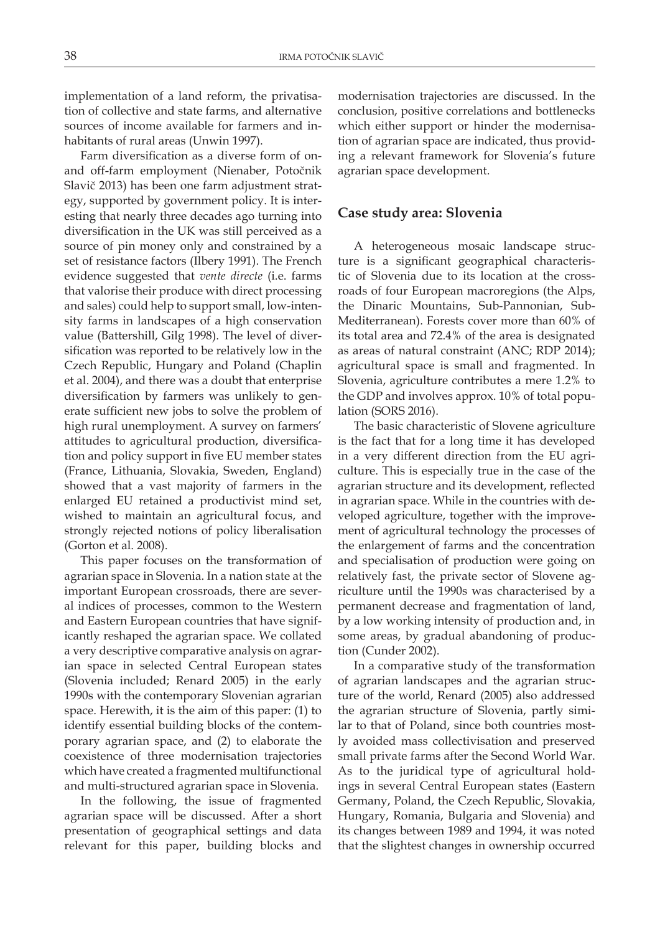implementation of a land reform, the privatisation of collective and state farms, and alternative sources of income available for farmers and inhabitants of rural areas (Unwin 1997).

Farm diversification as a diverse form of onand off-farm employment (Nienaber, Potočnik Slavič 2013) has been one farm adjustment strategy, supported by government policy. It is interesting that nearly three decades ago turning into diversification in the UK was still perceived as a source of pin money only and constrained by a set of resistance factors (Ilbery 1991). The French evidence suggested that *vente directe* (i.e. farms that valorise their produce with direct processing and sales) could help to support small, low-intensity farms in landscapes of a high conservation value (Battershill, Gilg 1998). The level of diversification was reported to be relatively low in the Czech Republic, Hungary and Poland (Chaplin et al. 2004), and there was a doubt that enterprise diversification by farmers was unlikely to generate sufficient new jobs to solve the problem of high rural unemployment. A survey on farmers' attitudes to agricultural production, diversification and policy support in five EU member states (France, Lithuania, Slovakia, Sweden, England) showed that a vast majority of farmers in the enlarged EU retained a productivist mind set, wished to maintain an agricultural focus, and strongly rejected notions of policy liberalisation (Gorton et al. 2008).

This paper focuses on the transformation of agrarian space in Slovenia. In a nation state at the important European crossroads, there are several indices of processes, common to the Western and Eastern European countries that have significantly reshaped the agrarian space. We collated a very descriptive comparative analysis on agrarian space in selected Central European states (Slovenia included; Renard 2005) in the early 1990s with the contemporary Slovenian agrarian space. Herewith, it is the aim of this paper: (1) to identify essential building blocks of the contemporary agrarian space, and (2) to elaborate the coexistence of three modernisation trajectories which have created a fragmented multifunctional and multi-structured agrarian space in Slovenia.

In the following, the issue of fragmented agrarian space will be discussed. After a short presentation of geographical settings and data relevant for this paper, building blocks and modernisation trajectories are discussed. In the conclusion, positive correlations and bottlenecks which either support or hinder the modernisation of agrarian space are indicated, thus providing a relevant framework for Slovenia's future agrarian space development.

#### **Case study area: Slovenia**

A heterogeneous mosaic landscape structure is a significant geographical characteristic of Slovenia due to its location at the crossroads of four European macroregions (the Alps, the Dinaric Mountains, Sub-Pannonian, Sub-Mediterranean). Forests cover more than 60% of its total area and 72.4% of the area is designated as areas of natural constraint (ANC; RDP 2014); agricultural space is small and fragmented. In Slovenia, agriculture contributes a mere 1.2% to the GDP and involves approx. 10% of total population (SORS 2016).

The basic characteristic of Slovene agriculture is the fact that for a long time it has developed in a very different direction from the EU agriculture. This is especially true in the case of the agrarian structure and its development, reflected in agrarian space. While in the countries with developed agriculture, together with the improvement of agricultural technology the processes of the enlargement of farms and the concentration and specialisation of production were going on relatively fast, the private sector of Slovene agriculture until the 1990s was characterised by a permanent decrease and fragmentation of land, by a low working intensity of production and, in some areas, by gradual abandoning of production (Cunder 2002).

In a comparative study of the transformation of agrarian landscapes and the agrarian structure of the world, Renard (2005) also addressed the agrarian structure of Slovenia, partly similar to that of Poland, since both countries mostly avoided mass collectivisation and preserved small private farms after the Second World War. As to the juridical type of agricultural holdings in several Central European states (Eastern Germany, Poland, the Czech Republic, Slovakia, Hungary, Romania, Bulgaria and Slovenia) and its changes between 1989 and 1994, it was noted that the slightest changes in ownership occurred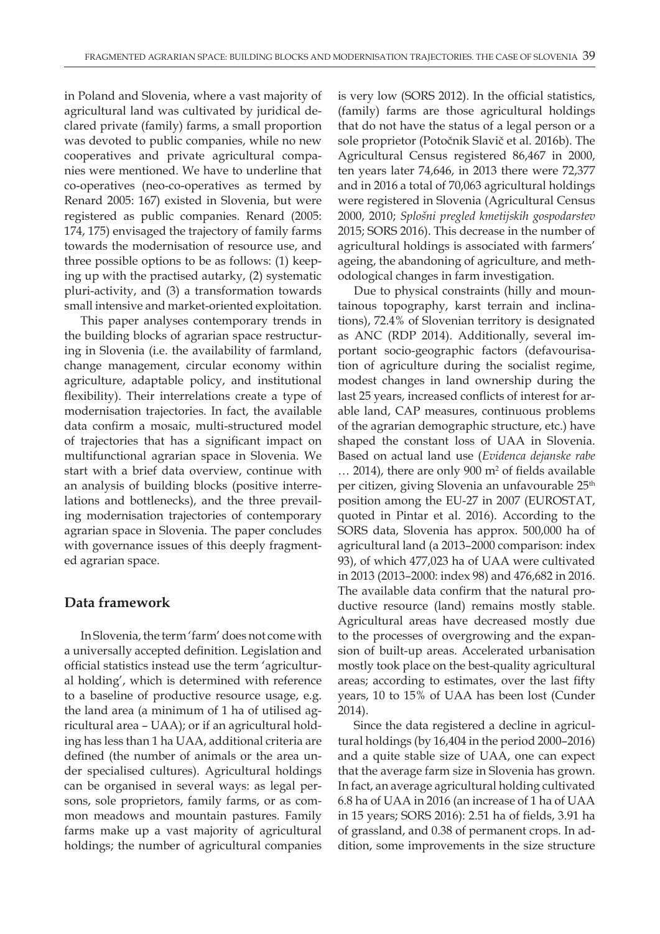in Poland and Slovenia, where a vast majority of agricultural land was cultivated by juridical declared private (family) farms, a small proportion was devoted to public companies, while no new cooperatives and private agricultural companies were mentioned. We have to underline that co-operatives (neo-co-operatives as termed by Renard 2005: 167) existed in Slovenia, but were registered as public companies. Renard (2005: 174, 175) envisaged the trajectory of family farms towards the modernisation of resource use, and three possible options to be as follows: (1) keeping up with the practised autarky, (2) systematic pluri-activity, and (3) a transformation towards small intensive and market-oriented exploitation.

This paper analyses contemporary trends in the building blocks of agrarian space restructuring in Slovenia (i.e. the availability of farmland, change management, circular economy within agriculture, adaptable policy, and institutional flexibility). Their interrelations create a type of modernisation trajectories. In fact, the available data confirm a mosaic, multi-structured model of trajectories that has a significant impact on multifunctional agrarian space in Slovenia. We start with a brief data overview, continue with an analysis of building blocks (positive interrelations and bottlenecks), and the three prevailing modernisation trajectories of contemporary agrarian space in Slovenia. The paper concludes with governance issues of this deeply fragmented agrarian space.

#### **Data framework**

In Slovenia, the term 'farm' does not come with a universally accepted definition. Legislation and official statistics instead use the term 'agricultural holding', which is determined with reference to a baseline of productive resource usage, e.g. the land area (a minimum of 1 ha of utilised agricultural area – UAA); or if an agricultural holding has less than 1 ha UAA, additional criteria are defined (the number of animals or the area under specialised cultures). Agricultural holdings can be organised in several ways: as legal persons, sole proprietors, family farms, or as common meadows and mountain pastures. Family farms make up a vast majority of agricultural holdings; the number of agricultural companies

is very low (SORS 2012). In the official statistics, (family) farms are those agricultural holdings that do not have the status of a legal person or a sole proprietor (Potočnik Slavič et al. 2016b). The Agricultural Census registered 86,467 in 2000, ten years later 74,646, in 2013 there were 72,377 and in 2016 a total of 70,063 agricultural holdings were registered in Slovenia (Agricultural Census 2000, 2010; *Splošni pregled kmetijskih gospodarstev* 2015; SORS 2016). This decrease in the number of agricultural holdings is associated with farmers' ageing, the abandoning of agriculture, and methodological changes in farm investigation.

Due to physical constraints (hilly and mountainous topography, karst terrain and inclinations), 72.4% of Slovenian territory is designated as ANC (RDP 2014). Additionally, several important socio-geographic factors (defavourisation of agriculture during the socialist regime, modest changes in land ownership during the last 25 years, increased conflicts of interest for arable land, CAP measures, continuous problems of the agrarian demographic structure, etc.) have shaped the constant loss of UAA in Slovenia. Based on actual land use (*Evidenca dejanske rabe*  $\ldots$  2014), there are only 900 m<sup>2</sup> of fields available per citizen, giving Slovenia an unfavourable 25<sup>th</sup> position among the EU-27 in 2007 (EUROSTAT, quoted in Pintar et al. 2016). According to the SORS data, Slovenia has approx. 500,000 ha of agricultural land (a 2013–2000 comparison: index 93), of which 477,023 ha of UAA were cultivated in 2013 (2013–2000: index 98) and 476,682 in 2016. The available data confirm that the natural productive resource (land) remains mostly stable. Agricultural areas have decreased mostly due to the processes of overgrowing and the expansion of built-up areas. Accelerated urbanisation mostly took place on the best-quality agricultural areas; according to estimates, over the last fifty years, 10 to 15% of UAA has been lost (Cunder 2014).

Since the data registered a decline in agricultural holdings (by 16,404 in the period 2000–2016) and a quite stable size of UAA, one can expect that the average farm size in Slovenia has grown. In fact, an average agricultural holding cultivated 6.8 ha of UAA in 2016 (an increase of 1 ha of UAA in 15 years; SORS 2016): 2.51 ha of fields, 3.91 ha of grassland, and 0.38 of permanent crops. In addition, some improvements in the size structure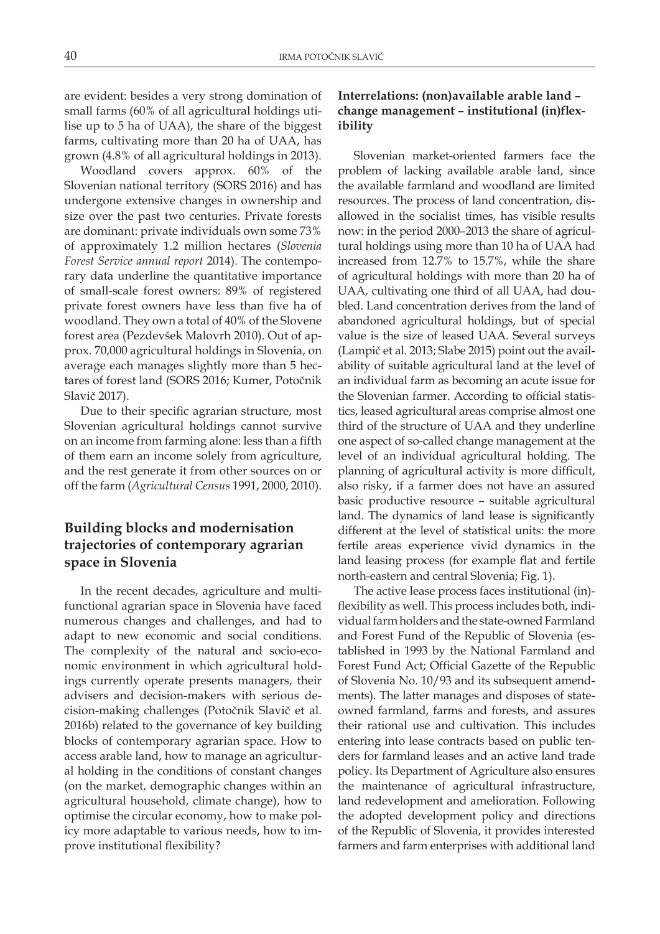are evident: besides a very strong domination of small farms (60% of all agricultural holdings utilise up to 5 ha of UAA), the share of the biggest farms, cultivating more than 20 ha of UAA, has grown (4.8% of all agricultural holdings in 2013).

Woodland covers approx. 60% of the Slovenian national territory (SORS 2016) and has undergone extensive changes in ownership and size over the past two centuries. Private forests are dominant: private individuals own some 73% of approximately 1.2 million hectares (*Slovenia Forest Service annual report* 2014). The contemporary data underline the quantitative importance of small-scale forest owners: 89% of registered private forest owners have less than five ha of woodland. They own a total of 40% of the Slovene forest area (Pezdevšek Malovrh 2010). Out of approx. 70,000 agricultural holdings in Slovenia, on average each manages slightly more than 5 hectares of forest land (SORS 2016; Kumer, Potočnik Slavič 2017).

Due to their specific agrarian structure, most Slovenian agricultural holdings cannot survive on an income from farming alone: less than a fifth of them earn an income solely from agriculture, and the rest generate it from other sources on or off the farm (*Agricultural Census* 1991, 2000, 2010).

## **Building blocks and modernisation trajectories of contemporary agrarian space in Slovenia**

In the recent decades, agriculture and multifunctional agrarian space in Slovenia have faced numerous changes and challenges, and had to adapt to new economic and social conditions. The complexity of the natural and socio-economic environment in which agricultural holdings currently operate presents managers, their advisers and decision-makers with serious decision-making challenges (Potočnik Slavič et al. 2016b) related to the governance of key building blocks of contemporary agrarian space. How to access arable land, how to manage an agricultural holding in the conditions of constant changes (on the market, demographic changes within an agricultural household, climate change), how to optimise the circular economy, how to make policy more adaptable to various needs, how to improve institutional flexibility?

#### **Interrelations: (non)available arable land – change management – institutional (in)flexibility**

Slovenian market-oriented farmers face the problem of lacking available arable land, since the available farmland and woodland are limited resources. The process of land concentration, disallowed in the socialist times, has visible results now: in the period 2000–2013 the share of agricultural holdings using more than 10 ha of UAA had increased from 12.7% to 15.7%, while the share of agricultural holdings with more than 20 ha of UAA, cultivating one third of all UAA, had doubled. Land concentration derives from the land of abandoned agricultural holdings, but of special value is the size of leased UAA. Several surveys (Lampič et al. 2013; Slabe 2015) point out the availability of suitable agricultural land at the level of an individual farm as becoming an acute issue for the Slovenian farmer. According to official statistics, leased agricultural areas comprise almost one third of the structure of UAA and they underline one aspect of so-called change management at the level of an individual agricultural holding. The planning of agricultural activity is more difficult, also risky, if a farmer does not have an assured basic productive resource – suitable agricultural land. The dynamics of land lease is significantly different at the level of statistical units: the more fertile areas experience vivid dynamics in the land leasing process (for example flat and fertile north-eastern and central Slovenia; Fig. 1).

The active lease process faces institutional (in)flexibility as well. This process includes both, individual farm holders and the state-owned Farmland and Forest Fund of the Republic of Slovenia (established in 1993 by the National Farmland and Forest Fund Act; Official Gazette of the Republic of Slovenia No. 10/93 and its subsequent amendments). The latter manages and disposes of stateowned farmland, farms and forests, and assures their rational use and cultivation. This includes entering into lease contracts based on public tenders for farmland leases and an active land trade policy. Its Department of Agriculture also ensures the maintenance of agricultural infrastructure, land redevelopment and amelioration. Following the adopted development policy and directions of the Republic of Slovenia, it provides interested farmers and farm enterprises with additional land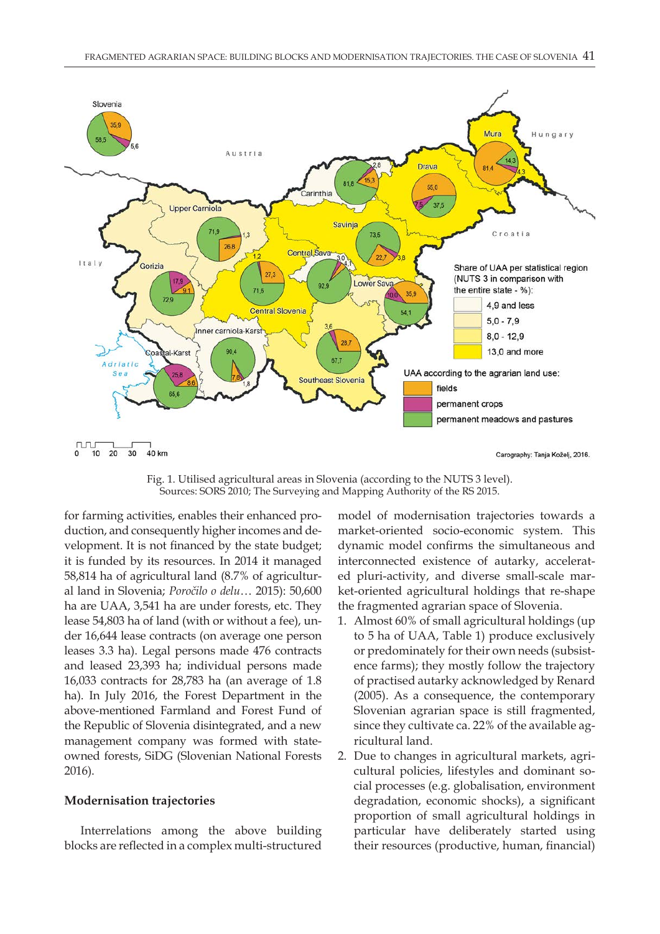

Fig. 1. Utilised agricultural areas in Slovenia (according to the NUTS 3 level). Sources: SORS 2010; The Surveying and Mapping Authority of the RS 2015.

for farming activities, enables their enhanced production, and consequently higher incomes and development. It is not financed by the state budget; it is funded by its resources. In 2014 it managed 58,814 ha of agricultural land (8.7% of agricultural land in Slovenia; *Poročilo o delu*… 2015): 50,600 ha are UAA, 3,541 ha are under forests, etc. They lease 54,803 ha of land (with or without a fee), under 16,644 lease contracts (on average one person leases 3.3 ha). Legal persons made 476 contracts and leased 23,393 ha; individual persons made 16,033 contracts for 28,783 ha (an average of 1.8 ha). In July 2016, the Forest Department in the above-mentioned Farmland and Forest Fund of the Republic of Slovenia disintegrated, and a new management company was formed with stateowned forests, SiDG (Slovenian National Forests 2016).

#### **Modernisation trajectories**

Interrelations among the above building blocks are reflected in a complex multi-structured

model of modernisation trajectories towards a market-oriented socio-economic system. This dynamic model confirms the simultaneous and interconnected existence of autarky, accelerated pluri-activity, and diverse small-scale market-oriented agricultural holdings that re-shape the fragmented agrarian space of Slovenia.

- 1. Almost 60% of small agricultural holdings (up to 5 ha of UAA, Table 1) produce exclusively or predominately for their own needs (subsistence farms); they mostly follow the trajectory of practised autarky acknowledged by Renard (2005). As a consequence, the contemporary Slovenian agrarian space is still fragmented, since they cultivate ca. 22% of the available agricultural land.
- 2. Due to changes in agricultural markets, agricultural policies, lifestyles and dominant social processes (e.g. globalisation, environment degradation, economic shocks), a significant proportion of small agricultural holdings in particular have deliberately started using their resources (productive, human, financial)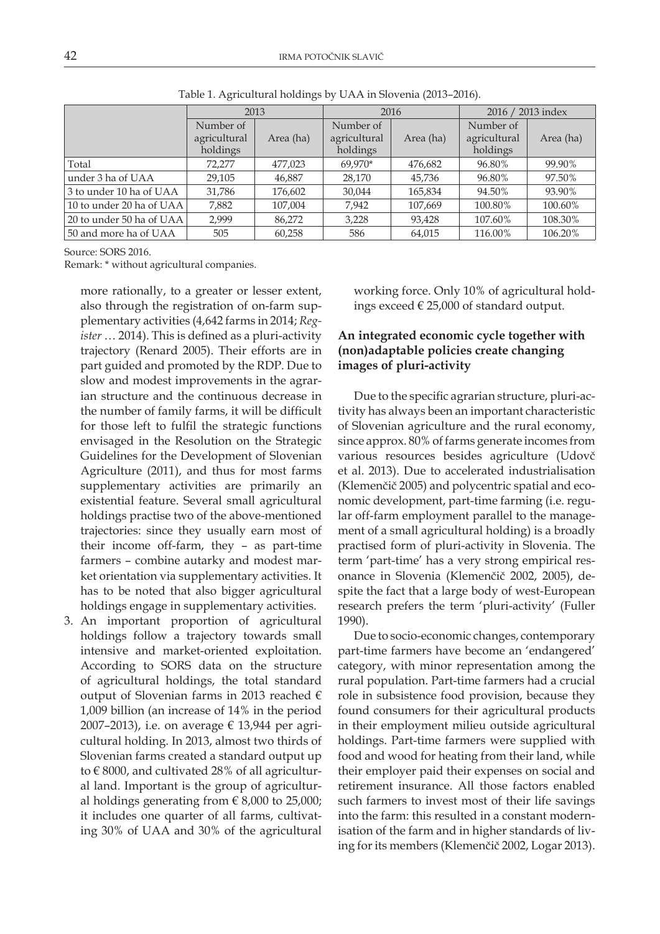|                          | 2013         |           | 2016         |           | 2016 / 2013 index |           |
|--------------------------|--------------|-----------|--------------|-----------|-------------------|-----------|
|                          | Number of    |           | Number of    |           | Number of         |           |
|                          | agricultural | Area (ha) | agricultural | Area (ha) | agricultural      | Area (ha) |
|                          | holdings     |           | holdings     |           | holdings          |           |
| Total                    | 72,277       | 477,023   | 69,970*      | 476,682   | 96.80%            | 99.90%    |
| under 3 ha of UAA        | 29,105       | 46,887    | 28,170       | 45,736    | 96.80%            | 97.50%    |
| 3 to under 10 ha of UAA  | 31,786       | 176,602   | 30,044       | 165,834   | 94.50%            | 93.90%    |
| 10 to under 20 ha of UAA | 7,882        | 107,004   | 7,942        | 107,669   | 100.80%           | 100.60%   |
| 20 to under 50 ha of UAA | 2,999        | 86,272    | 3,228        | 93,428    | 107.60%           | 108.30%   |
| 50 and more ha of UAA    | 505          | 60.258    | 586          | 64.015    | 116.00%           | 106.20%   |

Table 1. Agricultural holdings by UAA in Slovenia (2013–2016).

Source: SORS 2016.

Remark: \* without agricultural companies.

more rationally, to a greater or lesser extent, also through the registration of on-farm supplementary activities (4,642 farms in 2014; *Register* … 2014). This is defined as a pluri-activity trajectory (Renard 2005). Their efforts are in part guided and promoted by the RDP. Due to slow and modest improvements in the agrarian structure and the continuous decrease in the number of family farms, it will be difficult for those left to fulfil the strategic functions envisaged in the Resolution on the Strategic Guidelines for the Development of Slovenian Agriculture (2011), and thus for most farms supplementary activities are primarily an existential feature. Several small agricultural holdings practise two of the above-mentioned trajectories: since they usually earn most of their income off-farm, they – as part-time farmers – combine autarky and modest market orientation via supplementary activities. It has to be noted that also bigger agricultural holdings engage in supplementary activities.

3. An important proportion of agricultural holdings follow a trajectory towards small intensive and market-oriented exploitation. According to SORS data on the structure of agricultural holdings, the total standard output of Slovenian farms in 2013 reached  $\epsilon$ 1,009 billion (an increase of 14% in the period 2007–2013), i.e. on average € 13,944 per agricultural holding. In 2013, almost two thirds of Slovenian farms created a standard output up to  $\epsilon$  8000, and cultivated 28% of all agricultural land. Important is the group of agricultural holdings generating from  $\epsilon$  8,000 to 25,000; it includes one quarter of all farms, cultivating 30% of UAA and 30% of the agricultural

working force. Only 10% of agricultural holdings exceed € 25,000 of standard output.

#### **An integrated economic cycle together with (non)adaptable policies create changing images of pluri-activity**

Due to the specific agrarian structure, pluri-activity has always been an important characteristic of Slovenian agriculture and the rural economy, since approx. 80% of farms generate incomes from various resources besides agriculture (Udovč et al. 2013). Due to accelerated industrialisation (Klemenčič 2005) and polycentric spatial and economic development, part-time farming (i.e. regular off-farm employment parallel to the management of a small agricultural holding) is a broadly practised form of pluri-activity in Slovenia. The term 'part-time' has a very strong empirical resonance in Slovenia (Klemenčič 2002, 2005), despite the fact that a large body of west-European research prefers the term 'pluri-activity' (Fuller 1990).

Due to socio-economic changes, contemporary part-time farmers have become an 'endangered' category, with minor representation among the rural population. Part-time farmers had a crucial role in subsistence food provision, because they found consumers for their agricultural products in their employment milieu outside agricultural holdings. Part-time farmers were supplied with food and wood for heating from their land, while their employer paid their expenses on social and retirement insurance. All those factors enabled such farmers to invest most of their life savings into the farm: this resulted in a constant modernisation of the farm and in higher standards of living for its members (Klemenčič 2002, Logar 2013).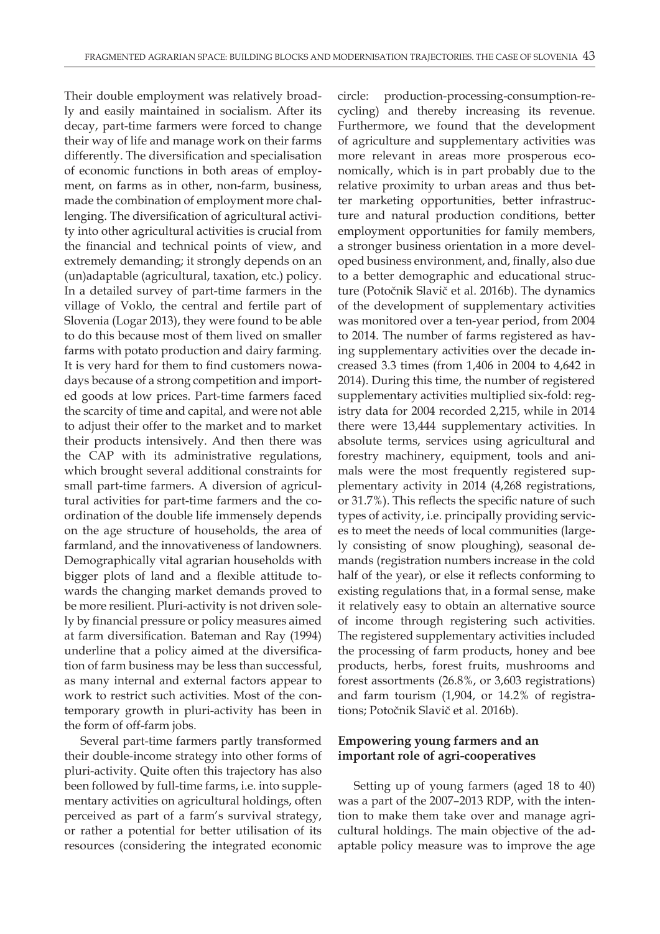Their double employment was relatively broadly and easily maintained in socialism. After its decay, part-time farmers were forced to change their way of life and manage work on their farms differently. The diversification and specialisation of economic functions in both areas of employment, on farms as in other, non-farm, business, made the combination of employment more challenging. The diversification of agricultural activity into other agricultural activities is crucial from the financial and technical points of view, and extremely demanding; it strongly depends on an (un)adaptable (agricultural, taxation, etc.) policy. In a detailed survey of part-time farmers in the village of Voklo, the central and fertile part of Slovenia (Logar 2013), they were found to be able to do this because most of them lived on smaller farms with potato production and dairy farming. It is very hard for them to find customers nowadays because of a strong competition and imported goods at low prices. Part-time farmers faced the scarcity of time and capital, and were not able to adjust their offer to the market and to market their products intensively. And then there was the CAP with its administrative regulations, which brought several additional constraints for small part-time farmers. A diversion of agricultural activities for part-time farmers and the coordination of the double life immensely depends on the age structure of households, the area of farmland, and the innovativeness of landowners. Demographically vital agrarian households with bigger plots of land and a flexible attitude towards the changing market demands proved to be more resilient. Pluri-activity is not driven solely by financial pressure or policy measures aimed at farm diversification. Bateman and Ray (1994) underline that a policy aimed at the diversification of farm business may be less than successful, as many internal and external factors appear to work to restrict such activities. Most of the contemporary growth in pluri-activity has been in the form of off-farm jobs.

Several part-time farmers partly transformed their double-income strategy into other forms of pluri-activity. Quite often this trajectory has also been followed by full-time farms, i.e. into supplementary activities on agricultural holdings, often perceived as part of a farm's survival strategy, or rather a potential for better utilisation of its resources (considering the integrated economic

circle: production-processing-consumption-recycling) and thereby increasing its revenue. Furthermore, we found that the development of agriculture and supplementary activities was more relevant in areas more prosperous economically, which is in part probably due to the relative proximity to urban areas and thus better marketing opportunities, better infrastructure and natural production conditions, better employment opportunities for family members, a stronger business orientation in a more developed business environment, and, finally, also due to a better demographic and educational structure (Potočnik Slavič et al. 2016b). The dynamics of the development of supplementary activities was monitored over a ten-year period, from 2004 to 2014. The number of farms registered as having supplementary activities over the decade increased 3.3 times (from 1,406 in 2004 to 4,642 in 2014). During this time, the number of registered supplementary activities multiplied six-fold: registry data for 2004 recorded 2,215, while in 2014 there were 13,444 supplementary activities. In absolute terms, services using agricultural and forestry machinery, equipment, tools and animals were the most frequently registered supplementary activity in 2014 (4,268 registrations, or 31.7%). This reflects the specific nature of such types of activity, i.e. principally providing services to meet the needs of local communities (largely consisting of snow ploughing), seasonal demands (registration numbers increase in the cold half of the year), or else it reflects conforming to existing regulations that, in a formal sense, make it relatively easy to obtain an alternative source of income through registering such activities. The registered supplementary activities included the processing of farm products, honey and bee products, herbs, forest fruits, mushrooms and forest assortments (26.8%, or 3,603 registrations) and farm tourism (1,904, or 14.2% of registrations; Potočnik Slavič et al. 2016b).

#### **Empowering young farmers and an important role of agri-cooperatives**

Setting up of young farmers (aged 18 to 40) was a part of the 2007–2013 RDP, with the intention to make them take over and manage agricultural holdings. The main objective of the adaptable policy measure was to improve the age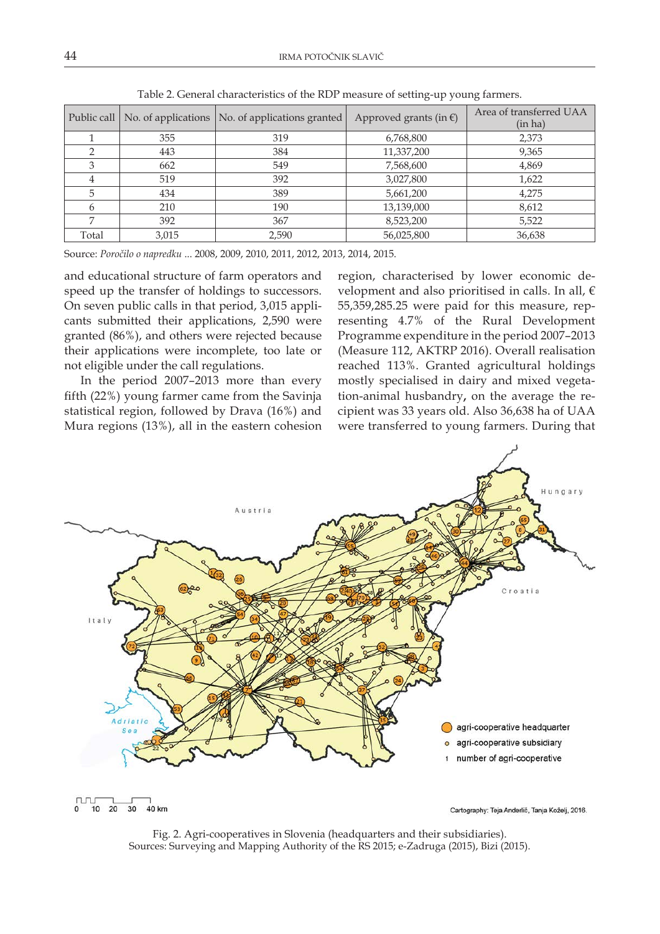| Public call |       | No. of applications   No. of applications granted | Approved grants (in $\epsilon$ ) | Area of transferred UAA<br>(in ha) |
|-------------|-------|---------------------------------------------------|----------------------------------|------------------------------------|
|             | 355   | 319                                               | 6,768,800                        | 2,373                              |
|             | 443   | 384                                               | 11,337,200                       | 9,365                              |
|             | 662   | 549                                               | 7,568,600                        | 4,869                              |
|             | 519   | 392                                               | 3,027,800                        | 1,622                              |
|             | 434   | 389                                               | 5,661,200                        | 4,275                              |
| 6           | 210   | 190                                               | 13,139,000                       | 8,612                              |
|             | 392   | 367                                               | 8,523,200                        | 5,522                              |
| Total       | 3,015 | 2,590                                             | 56,025,800                       | 36,638                             |

Table 2. General characteristics of the RDP measure of setting-up young farmers.

Source: *Poročilo o napredku* ... 2008, 2009, 2010, 2011, 2012, 2013, 2014, 2015.

and educational structure of farm operators and speed up the transfer of holdings to successors. On seven public calls in that period, 3,015 applicants submitted their applications, 2,590 were granted (86%), and others were rejected because their applications were incomplete, too late or not eligible under the call regulations.

In the period 2007–2013 more than every fifth (22%) young farmer came from the Savinja statistical region, followed by Drava (16%) and Mura regions (13%), all in the eastern cohesion

region, characterised by lower economic development and also prioritised in calls. In all,  $\epsilon$ 55,359,285.25 were paid for this measure, representing 4.7% of the Rural Development Programme expenditure in the period 2007–2013 (Measure 112, AKTRP 2016). Overall realisation reached 113%. Granted agricultural holdings mostly specialised in dairy and mixed vegetation-animal husbandry**,** on the average the recipient was 33 years old. Also 36,638 ha of UAA were transferred to young farmers. During that



 $\begin{array}{ccc}\n\begin{array}{ccc}\n\begin{array}{ccc}\n\begin{array}{ccc}\n\end{array} & \begin{array}{ccc}\n\end{array} & \begin{array}{ccc}\n\end{array} & \begin{array}{ccc}\n\end{array} & \begin{array}{ccc}\n\end{array} & \begin{array}{ccc}\n\end{array} & \begin{array}{ccc}\n\end{array} & \begin{array}{ccc}\n\end{array} & \begin{array}{ccc}\n\end{array} & \begin{array}{ccc}\n\end{array} & \begin{array}{ccc}\n\end{array} & \begin{array}{ccc}\n\end{array} & \begin{array}{ccc}\n\end{array} & \begin{array}{ccc}\n\end{array} &$  $30$ 40 km

Cartography: Teja Anderlič, Tanja Koželj, 2016.

Fig. 2. Agri-cooperatives in Slovenia (headquarters and their subsidiaries). Sources: Surveying and Mapping Authority of the RS 2015; e-Zadruga (2015), Bizi (2015).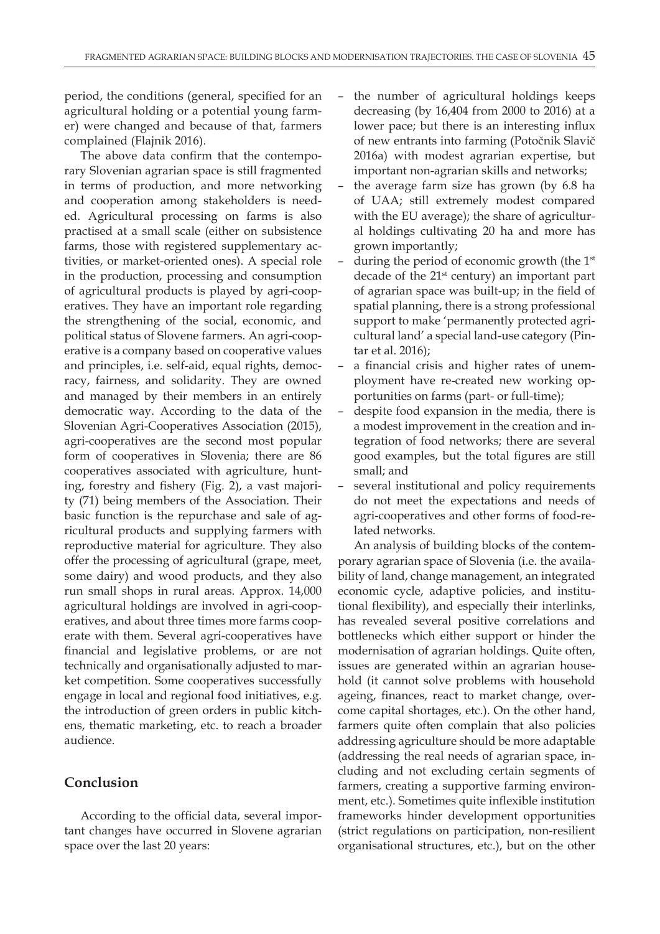period, the conditions (general, specified for an agricultural holding or a potential young farmer) were changed and because of that, farmers complained (Flajnik 2016).

The above data confirm that the contemporary Slovenian agrarian space is still fragmented in terms of production, and more networking and cooperation among stakeholders is needed. Agricultural processing on farms is also practised at a small scale (either on subsistence farms, those with registered supplementary activities, or market-oriented ones). A special role in the production, processing and consumption of agricultural products is played by agri-cooperatives. They have an important role regarding the strengthening of the social, economic, and political status of Slovene farmers. An agri-cooperative is a company based on cooperative values and principles, i.e. self-aid, equal rights, democracy, fairness, and solidarity. They are owned and managed by their members in an entirely democratic way. According to the data of the Slovenian Agri-Cooperatives Association (2015), agri-cooperatives are the second most popular form of cooperatives in Slovenia; there are 86 cooperatives associated with agriculture, hunting, forestry and fishery (Fig. 2), a vast majority (71) being members of the Association. Their basic function is the repurchase and sale of agricultural products and supplying farmers with reproductive material for agriculture. They also offer the processing of agricultural (grape, meet, some dairy) and wood products, and they also run small shops in rural areas. Approx. 14,000 agricultural holdings are involved in agri-cooperatives, and about three times more farms cooperate with them. Several agri-cooperatives have financial and legislative problems, or are not technically and organisationally adjusted to market competition. Some cooperatives successfully engage in local and regional food initiatives, e.g. the introduction of green orders in public kitchens, thematic marketing, etc. to reach a broader audience.

### **Conclusion**

According to the official data, several important changes have occurred in Slovene agrarian space over the last 20 years:

- the number of agricultural holdings keeps decreasing (by 16,404 from 2000 to 2016) at a lower pace; but there is an interesting influx of new entrants into farming (Potočnik Slavič 2016a) with modest agrarian expertise, but important non-agrarian skills and networks;
- the average farm size has grown (by 6.8 ha of UAA; still extremely modest compared with the EU average); the share of agricultural holdings cultivating 20 ha and more has grown importantly;
- during the period of economic growth (the 1<sup>st</sup> decade of the  $21<sup>st</sup>$  century) an important part of agrarian space was built-up; in the field of spatial planning, there is a strong professional support to make 'permanently protected agricultural land' a special land-use category (Pintar et al. 2016);
- a financial crisis and higher rates of unemployment have re-created new working opportunities on farms (part- or full-time);
- despite food expansion in the media, there is a modest improvement in the creation and integration of food networks; there are several good examples, but the total figures are still small; and
- several institutional and policy requirements do not meet the expectations and needs of agri-cooperatives and other forms of food-related networks.

An analysis of building blocks of the contemporary agrarian space of Slovenia (i.e. the availability of land, change management, an integrated economic cycle, adaptive policies, and institutional flexibility), and especially their interlinks, has revealed several positive correlations and bottlenecks which either support or hinder the modernisation of agrarian holdings. Quite often, issues are generated within an agrarian household (it cannot solve problems with household ageing, finances, react to market change, overcome capital shortages, etc.). On the other hand, farmers quite often complain that also policies addressing agriculture should be more adaptable (addressing the real needs of agrarian space, including and not excluding certain segments of farmers, creating a supportive farming environment, etc.). Sometimes quite inflexible institution frameworks hinder development opportunities (strict regulations on participation, non-resilient organisational structures, etc.), but on the other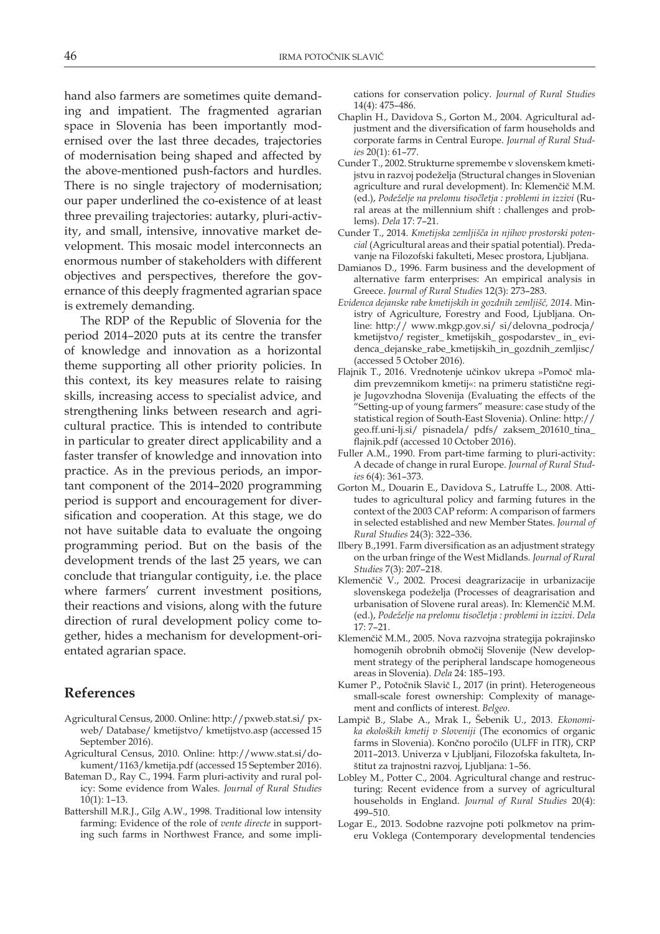hand also farmers are sometimes quite demanding and impatient. The fragmented agrarian space in Slovenia has been importantly modernised over the last three decades, trajectories of modernisation being shaped and affected by the above-mentioned push-factors and hurdles. There is no single trajectory of modernisation; our paper underlined the co-existence of at least three prevailing trajectories: autarky, pluri-activity, and small, intensive, innovative market development. This mosaic model interconnects an enormous number of stakeholders with different objectives and perspectives, therefore the governance of this deeply fragmented agrarian space is extremely demanding.

The RDP of the Republic of Slovenia for the period 2014–2020 puts at its centre the transfer of knowledge and innovation as a horizontal theme supporting all other priority policies. In this context, its key measures relate to raising skills, increasing access to specialist advice, and strengthening links between research and agricultural practice. This is intended to contribute in particular to greater direct applicability and a faster transfer of knowledge and innovation into practice. As in the previous periods, an important component of the 2014–2020 programming period is support and encouragement for diversification and cooperation. At this stage, we do not have suitable data to evaluate the ongoing programming period. But on the basis of the development trends of the last 25 years, we can conclude that triangular contiguity, i.e. the place where farmers' current investment positions, their reactions and visions, along with the future direction of rural development policy come together, hides a mechanism for development-orientated agrarian space.

#### **References**

- Agricultural Census, 2000. Online: http://pxweb.stat.si/ pxweb/ Database/ kmetijstvo/ kmetijstvo.asp (accessed 15 September 2016).
- Agricultural Census, 2010. Online: http://www.stat.si/dokument/1163/kmetija.pdf (accessed 15 September 2016).
- Bateman D., Ray C., 1994. Farm pluri-activity and rural policy: Some evidence from Wales. *Journal of Rural Studies*  10(1): 1–13.
- Battershill M.R.J., Gilg A.W., 1998. Traditional low intensity farming: Evidence of the role of *vente directe* in supporting such farms in Northwest France, and some impli-

cations for conservation policy. *Journal of Rural Studies*  14(4): 475–486.

- Chaplin H., Davidova S., Gorton M., 2004. Agricultural adjustment and the diversification of farm households and corporate farms in Central Europe. *Journal of Rural Studies* 20(1): 61–77.
- Cunder T., 2002. Strukturne spremembe v slovenskem kmetijstvu in razvoj podeželja (Structural changes in Slovenian agriculture and rural development). In: Klemenčič M.M. (ed.), *Podeželje na prelomu tisočletja : problemi in izzivi* (Rural areas at the millennium shift : challenges and problems). *Dela* 17: 7–21.
- Cunder T., 2014. *Kmetijska zemljišča in njihov prostorski potencial* (Agricultural areas and their spatial potential). Predavanje na Filozofski fakulteti, Mesec prostora, Ljubljana.
- Damianos D., 1996. Farm business and the development of alternative farm enterprises: An empirical analysis in Greece. *Journal of Rural Studies* 12(3): 273–283.
- *Evidenca dejanske rabe kmetijskih in gozdnih zemljišč, 2014*. Ministry of Agriculture, Forestry and Food, Ljubljana. Online: http:// www.mkgp.gov.si/ si/delovna\_podrocja/ kmetijstvo/ register\_ kmetijskih\_ gospodarstev\_ in\_ evidenca\_dejanske\_rabe\_kmetijskih\_in\_gozdnih\_zemljisc/ (accessed 5 October 2016).
- Flajnik T., 2016. Vrednotenje učinkov ukrepa »Pomoč mladim prevzemnikom kmetij«: na primeru statistične regije Jugovzhodna Slovenija (Evaluating the effects of the "Setting-up of young farmers" measure: case study of the statistical region of South-East Slovenia). Online: http:// geo.ff.uni-lj.si/ pisnadela/ pdfs/ zaksem\_201610\_tina\_ flajnik.pdf (accessed 10 October 2016).
- Fuller A.M., 1990. From part-time farming to pluri-activity: A decade of change in rural Europe. *Journal of Rural Studies* 6(4): 361–373.
- Gorton M., Douarin E., Davidova S., Latruffe L., 2008. Attitudes to agricultural policy and farming futures in the context of the 2003 CAP reform: A comparison of farmers in selected established and new Member States. *Journal of Rural Studies* 24(3): 322–336.
- Ilbery B.,1991. Farm diversification as an adjustment strategy on the urban fringe of the West Midlands. *Journal of Rural Studies* 7(3): 207–218.
- Klemenčič V., 2002. Procesi deagrarizacije in urbanizacije slovenskega podeželja (Processes of deagrarisation and urbanisation of Slovene rural areas). In: Klemenčič M.M. (ed.), *Podeželje na prelomu tisočletja : problemi in izzivi. Dela* 17: 7–21.
- Klemenčič M.M., 2005. Nova razvojna strategija pokrajinsko homogenih obrobnih območij Slovenije (New development strategy of the peripheral landscape homogeneous areas in Slovenia). *Dela* 24: 185–193.
- Kumer P., Potočnik Slavič I., 2017 (in print). Heterogeneous small-scale forest ownership: Complexity of management and conflicts of interest. *Belgeo*.
- Lampič B., Slabe A., Mrak I., Šebenik U., 2013. *Ekonomika ekoloških kmetij v Sloveniji* (The economics of organic farms in Slovenia). Končno poročilo (ULFF in ITR), CRP 2011–2013. Univerza v Ljubljani, Filozofska fakulteta, Inštitut za trajnostni razvoj, Ljubljana: 1–56.
- Lobley M., Potter C., 2004. Agricultural change and restructuring: Recent evidence from a survey of agricultural households in England. *Journal of Rural Studies* 20(4): 499–510.
- Logar E., 2013. Sodobne razvojne poti polkmetov na primeru Voklega (Contemporary developmental tendencies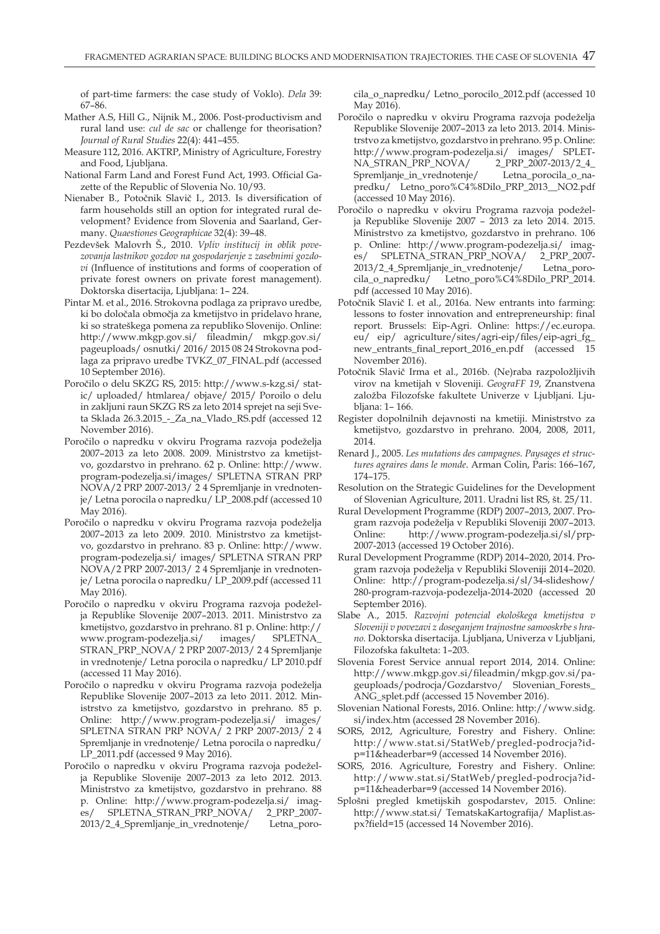of part-time farmers: the case study of Voklo). *Dela* 39: 67–86.

- Mather A.S, Hill G., Nijnik M., 2006. Post-productivism and rural land use: *cul de sac* or challenge for theorisation? *Journal of Rural Studies* 22(4): 441–455.
- Measure 112, 2016. AKTRP, Ministry of Agriculture, Forestry and Food, Ljubljana.
- National Farm Land and Forest Fund Act, 1993. Official Gazette of the Republic of Slovenia No. 10/93.
- Nienaber B., Potočnik Slavič I., 2013. Is diversification of farm households still an option for integrated rural development? Evidence from Slovenia and Saarland, Germany. *Quaestiones Geographicae* 32(4): 39–48.
- Pezdevšek Malovrh Š., 2010. *Vpliv institucij in oblik povezovanja lastnikov gozdov na gospodarjenje z zasebnimi gozdovi* (Influence of institutions and forms of cooperation of private forest owners on private forest management). Doktorska disertacija, Ljubljana: 1– 224.
- Pintar M. et al., 2016. Strokovna podlaga za pripravo uredbe, ki bo določala območja za kmetijstvo in pridelavo hrane, ki so strateškega pomena za republiko Slovenijo. Online: http://www.mkgp.gov.si/ fileadmin/ mkgp.gov.si/ pageuploads/ osnutki/ 2016/ 2015 08 24 Strokovna podlaga za pripravo uredbe TVKZ\_07\_FINAL.pdf (accessed 10 September 2016).
- Poročilo o delu SKZG RS, 2015: http://www.s-kzg.si/ static/ uploaded/ htmlarea/ objave/ 2015/ Poroilo o delu in zakljuni raun SKZG RS za leto 2014 sprejet na seji Sveta Sklada 26.3.2015\_-\_Za\_na\_Vlado\_RS.pdf (accessed 12 November 2016).
- Poročilo o napredku v okviru Programa razvoja podeželja 2007–2013 za leto 2008. 2009. Ministrstvo za kmetijstvo, gozdarstvo in prehrano. 62 p. Online: http://www. program-podezelja.si/images/ SPLETNA STRAN PRP NOVA/2 PRP 2007-2013/ 2 4 Spremljanje in vrednotenje/ Letna porocila o napredku/ LP\_2008.pdf (accessed 10 May 2016).
- Poročilo o napredku v okviru Programa razvoja podeželja 2007–2013 za leto 2009. 2010. Ministrstvo za kmetijstvo, gozdarstvo in prehrano. 83 p. Online: http://www. program-podezelja.si/ images/ SPLETNA STRAN PRP NOVA/2 PRP 2007-2013/ 2 4 Spremljanje in vrednotenje/ Letna porocila o napredku/ LP\_2009.pdf (accessed 11 May 2016).
- Poročilo o napredku v okviru Programa razvoja podeželja Republike Slovenije 2007–2013. 2011. Ministrstvo za kmetijstvo, gozdarstvo in prehrano. 81 p. Online: http:// www.program-podezelja.si/ images/ SPLETNA\_ STRAN\_PRP\_NOVA/ 2 PRP 2007-2013/ 2 4 Spremljanje in vrednotenje/ Letna porocila o napredku/ LP 2010.pdf (accessed 11 May 2016).
- Poročilo o napredku v okviru Programa razvoja podeželja Republike Slovenije 2007–2013 za leto 2011. 2012. Ministrstvo za kmetijstvo, gozdarstvo in prehrano. 85 p. Online: http://www.program-podezelja.si/ images/ SPLETNA STRAN PRP NOVA/ 2 PRP 2007-2013/ 2 4 Spremljanje in vrednotenje/ Letna porocila o napredku/ LP\_2011.pdf (accessed 9 May 2016).
- Poročilo o napredku v okviru Programa razvoja podeželja Republike Slovenije 2007–2013 za leto 2012. 2013. Ministrstvo za kmetijstvo, gozdarstvo in prehrano. 88 p. Online: http://www.program-podezelja.si/ images/ SPLETNA\_STRAN\_PRP\_NOVA/ 2\_PRP\_2007-2013/2\_4\_Spremljanje\_in\_vrednotenje/ Letna\_poro-

cila\_o\_napredku/ Letno\_porocilo\_2012.pdf (accessed 10 May 2016).

- Poročilo o napredku v okviru Programa razvoja podeželja Republike Slovenije 2007–2013 za leto 2013. 2014. Ministrstvo za kmetijstvo, gozdarstvo in prehrano. 95 p. Online: http://www.program-podezelja.si/ images/ SPLET-<br>NA\_STRAN\_PRP\_NOVA/ 2\_PRP\_2007-2013/2\_4\_ NA\_STRAN\_PRP\_NOVA/ Spremljanje\_in\_vrednotenje/ Letna\_porocila\_o\_napredku/ Letno\_poro%C4%8Dilo\_PRP\_2013\_\_NO2.pdf (accessed 10 May 2016).
- Poročilo o napredku v okviru Programa razvoja podeželja Republike Slovenije 2007 – 2013 za leto 2014. 2015. Ministrstvo za kmetijstvo, gozdarstvo in prehrano. 106 p. Online: http://www.program-podezelja.si/ images/ SPLETNA\_STRAN\_PRP\_NOVA/ 2\_PRP\_2007-<br>2013/2 4 Spremlianje in vrednotenje/ Letna poro-2013/2\_4\_Spremljanje\_in\_vrednotenje/ cila\_o\_napredku/ Letno\_poro%C4%8Dilo\_PRP\_2014. pdf (accessed 10 May 2016).
- Potočnik Slavič I. et al., 2016a. New entrants into farming: lessons to foster innovation and entrepreneurship: final report. Brussels: Eip-Agri. Online: https://ec.europa. eu/ eip/ agriculture/sites/agri-eip/files/eip-agri\_fg\_ new\_entrants\_final\_report\_2016\_en.pdf (accessed 15 November 2016).
- Potočnik Slavič Irma et al., 2016b. (Ne)raba razpoložljivih virov na kmetijah v Sloveniji. *GeograFF 19*, Znanstvena založba Filozofske fakultete Univerze v Ljubljani. Ljubljana: 1– 166.
- Register dopolnilnih dejavnosti na kmetiji. Ministrstvo za kmetijstvo, gozdarstvo in prehrano. 2004, 2008, 2011, 2014.
- Renard J., 2005. *Les mutations des campagnes. Paysages et structures agraires dans le monde*. Arman Colin, Paris: 166–167, 174–175.
- Resolution on the Strategic Guidelines for the Development of Slovenian Agriculture, 2011. Uradni list RS, št. 25/11.
- Rural Development Programme (RDP) 2007–2013, 2007. Program razvoja podeželja v Republiki Sloveniji 2007–2013. Online: http://www.program-podezelja.si/sl/prp-2007-2013 (accessed 19 October 2016).
- Rural Development Programme (RDP) 2014–2020, 2014. Program razvoja podeželja v Republiki Sloveniji 2014–2020. Online: http://program-podezelja.si/sl/34-slideshow/ 280-program-razvoja-podezelja-2014-2020 (accessed 20 September 2016).
- Slabe A., 2015. *Razvojni potencial ekološkega kmetijstva v Sloveniji v povezavi z doseganjem trajnostne samooskrbe s hrano.* Doktorska disertacija. Ljubljana, Univerza v Ljubljani, Filozofska fakulteta: 1–203.
- Slovenia Forest Service annual report 2014, 2014. Online: http://www.mkgp.gov.si/fileadmin/mkgp.gov.si/pageuploads/podrocja/Gozdarstvo/ Slovenian\_Forests\_ ANG\_splet.pdf (accessed 15 November 2016).
- Slovenian National Forests, 2016. Online: http://www.sidg. si/index.htm (accessed 28 November 2016).
- SORS, 2012, Agriculture, Forestry and Fishery. Online: http://www.stat.si/StatWeb/pregled-podrocja?idp=11&headerbar=9 (accessed 14 November 2016).
- SORS, 2016. Agriculture, Forestry and Fishery. Online: http://www.stat.si/StatWeb/pregled-podrocja?idp=11&headerbar=9 (accessed 14 November 2016).
- Splošni pregled kmetijskih gospodarstev, 2015. Online: http://www.stat.si/ TematskaKartografija/ Maplist.aspx?field=15 (accessed 14 November 2016).